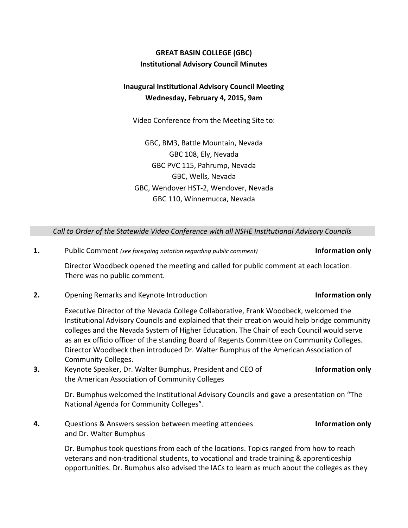# **GREAT BASIN COLLEGE (GBC) Institutional Advisory Council Minutes**

## **Inaugural Institutional Advisory Council Meeting Wednesday, February 4, 2015, 9am**

Video Conference from the Meeting Site to:

GBC, BM3, Battle Mountain, Nevada GBC 108, Ely, Nevada GBC PVC 115, Pahrump, Nevada GBC, Wells, Nevada GBC, Wendover HST-2, Wendover, Nevada GBC 110, Winnemucca, Nevada

*Call to Order of the Statewide Video Conference with all NSHE Institutional Advisory Councils*

**1.** Public Comment *(see foregoing notation regarding public comment)* **Information only**

Director Woodbeck opened the meeting and called for public comment at each location. There was no public comment.

**2.** Opening Remarks and Keynote Introduction **Information only**

Executive Director of the Nevada College Collaborative, Frank Woodbeck, welcomed the Institutional Advisory Councils and explained that their creation would help bridge community colleges and the Nevada System of Higher Education. The Chair of each Council would serve as an ex officio officer of the standing Board of Regents Committee on Community Colleges. Director Woodbeck then introduced Dr. Walter Bumphus of the American Association of Community Colleges.

**3.** Keynote Speaker, Dr. Walter Bumphus, President and CEO of the American Association of Community Colleges

> Dr. Bumphus welcomed the Institutional Advisory Councils and gave a presentation on "The National Agenda for Community Colleges".

**4.** Questions & Answers session between meeting attendees and Dr. Walter Bumphus **Information only**

Dr. Bumphus took questions from each of the locations. Topics ranged from how to reach veterans and non-traditional students, to vocational and trade training & apprenticeship opportunities. Dr. Bumphus also advised the IACs to learn as much about the colleges as they

**Information only**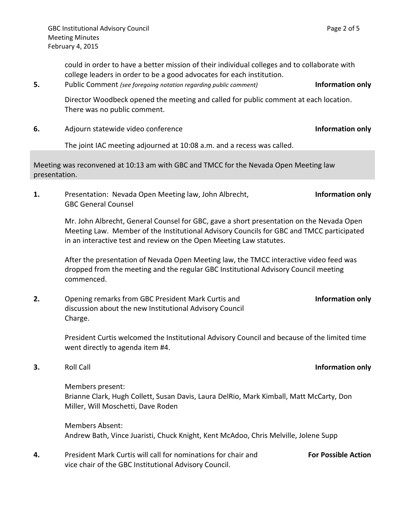could in order to have a better mission of their individual colleges and to collaborate with college leaders in order to be a good advocates for each institution.

**5.** Public Comment *(see foregoing notation regarding public comment)* **Information only**

Director Woodbeck opened the meeting and called for public comment at each location. There was no public comment.

**6.** Adjourn statewide video conference **Information only**

The joint IAC meeting adjourned at 10:08 a.m. and a recess was called.

Meeting was reconvened at 10:13 am with GBC and TMCC for the Nevada Open Meeting law presentation.

**1.** Presentation: Nevada Open Meeting law, John Albrecht, GBC General Counsel **Information only**

Mr. John Albrecht, General Counsel for GBC, gave a short presentation on the Nevada Open Meeting Law. Member of the Institutional Advisory Councils for GBC and TMCC participated in an interactive test and review on the Open Meeting Law statutes.

After the presentation of Nevada Open Meeting law, the TMCC interactive video feed was dropped from the meeting and the regular GBC Institutional Advisory Council meeting commenced.

**2.** Opening remarks from GBC President Mark Curtis and discussion about the new Institutional Advisory Council Charge.

> President Curtis welcomed the Institutional Advisory Council and because of the limited time went directly to agenda item #4.

**3.** Roll Call **Information only**

Members present: Brianne Clark, Hugh Collett, Susan Davis, Laura DelRio, Mark Kimball, Matt McCarty, Don Miller, Will Moschetti, Dave Roden

Members Absent: Andrew Bath, Vince Juaristi, Chuck Knight, Kent McAdoo, Chris Melville, Jolene Supp

**4.** President Mark Curtis will call for nominations for chair and vice chair of the GBC Institutional Advisory Council. **For Possible Action**

**Information only**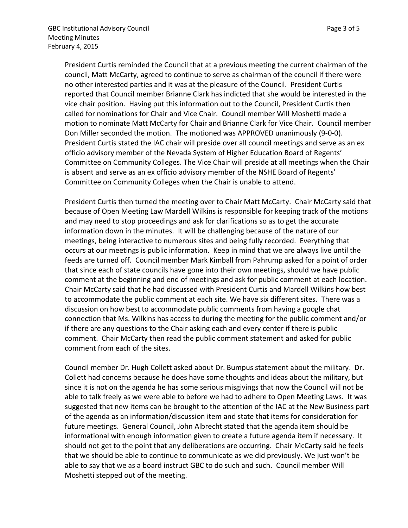President Curtis reminded the Council that at a previous meeting the current chairman of the council, Matt McCarty, agreed to continue to serve as chairman of the council if there were no other interested parties and it was at the pleasure of the Council. President Curtis reported that Council member Brianne Clark has indicted that she would be interested in the vice chair position. Having put this information out to the Council, President Curtis then called for nominations for Chair and Vice Chair. Council member Will Moshetti made a motion to nominate Matt McCarty for Chair and Brianne Clark for Vice Chair. Council member Don Miller seconded the motion. The motioned was APPROVED unanimously (9-0-0). President Curtis stated the IAC chair will preside over all council meetings and serve as an ex officio advisory member of the Nevada System of Higher Education Board of Regents' Committee on Community Colleges. The Vice Chair will preside at all meetings when the Chair is absent and serve as an ex officio advisory member of the NSHE Board of Regents' Committee on Community Colleges when the Chair is unable to attend.

President Curtis then turned the meeting over to Chair Matt McCarty. Chair McCarty said that because of Open Meeting Law Mardell Wilkins is responsible for keeping track of the motions and may need to stop proceedings and ask for clarifications so as to get the accurate information down in the minutes. It will be challenging because of the nature of our meetings, being interactive to numerous sites and being fully recorded. Everything that occurs at our meetings is public information. Keep in mind that we are always live until the feeds are turned off. Council member Mark Kimball from Pahrump asked for a point of order that since each of state councils have gone into their own meetings, should we have public comment at the beginning and end of meetings and ask for public comment at each location. Chair McCarty said that he had discussed with President Curtis and Mardell Wilkins how best to accommodate the public comment at each site. We have six different sites. There was a discussion on how best to accommodate public comments from having a google chat connection that Ms. Wilkins has access to during the meeting for the public comment and/or if there are any questions to the Chair asking each and every center if there is public comment. Chair McCarty then read the public comment statement and asked for public comment from each of the sites.

Council member Dr. Hugh Collett asked about Dr. Bumpus statement about the military. Dr. Collett had concerns because he does have some thoughts and ideas about the military, but since it is not on the agenda he has some serious misgivings that now the Council will not be able to talk freely as we were able to before we had to adhere to Open Meeting Laws. It was suggested that new items can be brought to the attention of the IAC at the New Business part of the agenda as an information/discussion item and state that items for consideration for future meetings. General Council, John Albrecht stated that the agenda item should be informational with enough information given to create a future agenda item if necessary. It should not get to the point that any deliberations are occurring. Chair McCarty said he feels that we should be able to continue to communicate as we did previously. We just won't be able to say that we as a board instruct GBC to do such and such. Council member Will Moshetti stepped out of the meeting.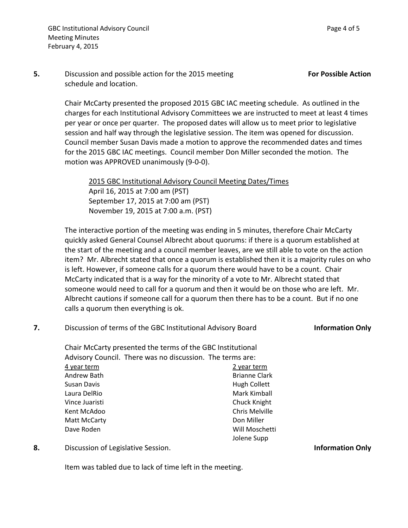Chair McCarty presented the proposed 2015 GBC IAC meeting schedule. As outlined in the charges for each Institutional Advisory Committees we are instructed to meet at least 4 times per year or once per quarter. The proposed dates will allow us to meet prior to legislative session and half way through the legislative session. The item was opened for discussion. Council member Susan Davis made a motion to approve the recommended dates and times for the 2015 GBC IAC meetings. Council member Don Miller seconded the motion. The motion was APPROVED unanimously (9-0-0).

2015 GBC Institutional Advisory Council Meeting Dates/Times April 16, 2015 at 7:00 am (PST) September 17, 2015 at 7:00 am (PST) November 19, 2015 at 7:00 a.m. (PST)

The interactive portion of the meeting was ending in 5 minutes, therefore Chair McCarty quickly asked General Counsel Albrecht about quorums: if there is a quorum established at the start of the meeting and a council member leaves, are we still able to vote on the action item? Mr. Albrecht stated that once a quorum is established then it is a majority rules on who is left. However, if someone calls for a quorum there would have to be a count. Chair McCarty indicated that is a way for the minority of a vote to Mr. Albrecht stated that someone would need to call for a quorum and then it would be on those who are left. Mr. Albrecht cautions if someone call for a quorum then there has to be a count. But if no one calls a quorum then everything is ok.

| Discussion of terms of the GBC Institutional Advisory Board | <b>Information Only</b> |
|-------------------------------------------------------------|-------------------------|
| Chair McCarty presented the terms of the GBC Institutional  |                         |
| Advisory Council. There was no discussion. The terms are:   |                         |

| 4 year term    | 2 year term          |
|----------------|----------------------|
| Andrew Bath    | <b>Brianne Clark</b> |
| Susan Davis    | <b>Hugh Collett</b>  |
| Laura DelRio   | Mark Kimball         |
| Vince Juaristi | Chuck Knight         |
| Kent McAdoo    | Chris Melville       |
| Matt McCarty   | Don Miller           |
| Dave Roden     | Will Moschetti       |
|                | Jolene Supp          |

**8.** Discussion of Legislative Session. **Information Only**

Item was tabled due to lack of time left in the meeting.